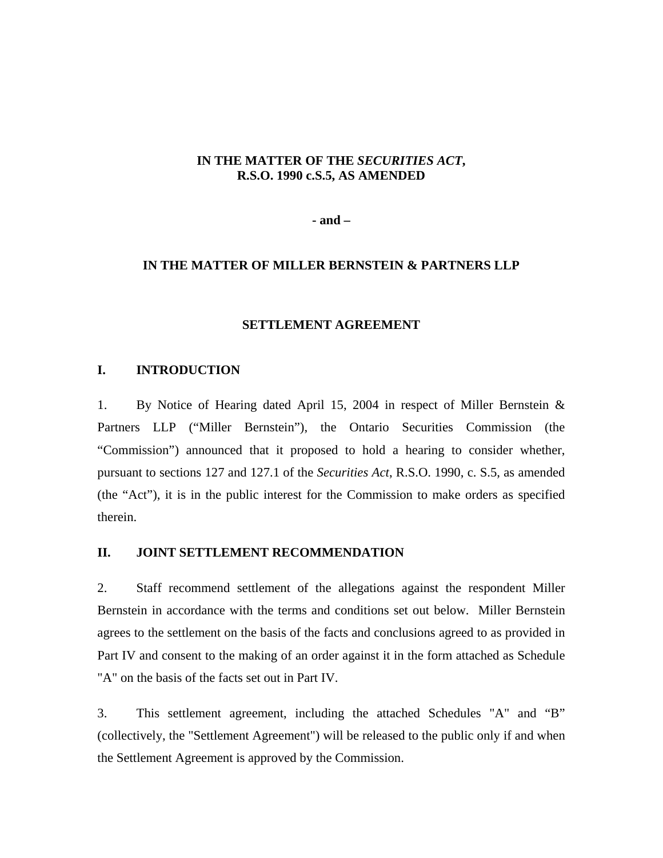# **IN THE MATTER OF THE** *SECURITIES ACT***, R.S.O. 1990 c.S.5, AS AMENDED**

**- and –** 

# **IN THE MATTER OF MILLER BERNSTEIN & PARTNERS LLP**

# **SETTLEMENT AGREEMENT**

## **I. INTRODUCTION**

1. By Notice of Hearing dated April 15, 2004 in respect of Miller Bernstein & Partners LLP ("Miller Bernstein"), the Ontario Securities Commission (the "Commission") announced that it proposed to hold a hearing to consider whether, pursuant to sections 127 and 127.1 of the *Securities Act*, R.S.O. 1990, c. S.5, as amended (the "Act"), it is in the public interest for the Commission to make orders as specified therein.

## **II. JOINT SETTLEMENT RECOMMENDATION**

2. Staff recommend settlement of the allegations against the respondent Miller Bernstein in accordance with the terms and conditions set out below. Miller Bernstein agrees to the settlement on the basis of the facts and conclusions agreed to as provided in Part IV and consent to the making of an order against it in the form attached as Schedule "A" on the basis of the facts set out in Part IV.

3. This settlement agreement, including the attached Schedules "A" and "B" (collectively, the "Settlement Agreement") will be released to the public only if and when the Settlement Agreement is approved by the Commission.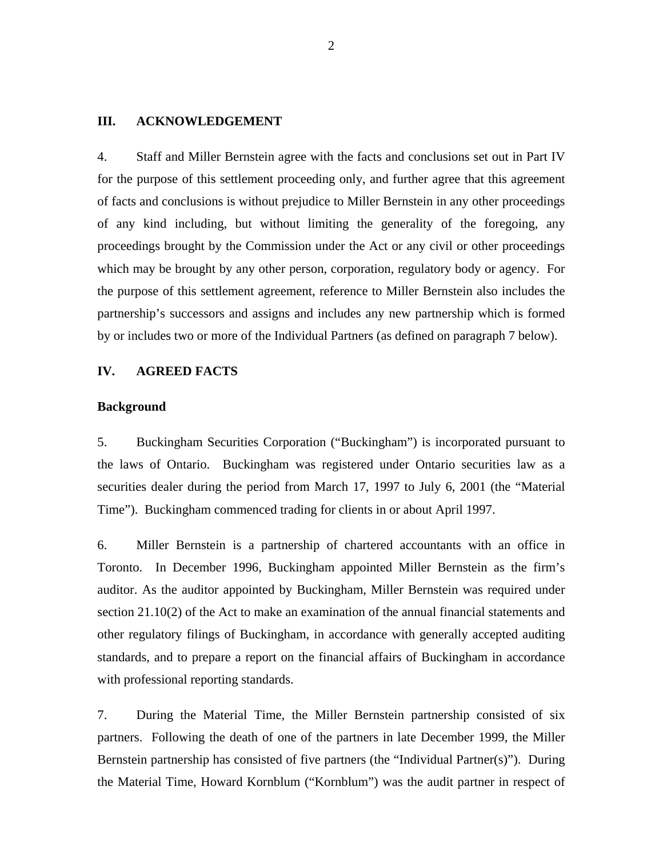#### **III. ACKNOWLEDGEMENT**

4. Staff and Miller Bernstein agree with the facts and conclusions set out in Part IV for the purpose of this settlement proceeding only, and further agree that this agreement of facts and conclusions is without prejudice to Miller Bernstein in any other proceedings of any kind including, but without limiting the generality of the foregoing, any proceedings brought by the Commission under the Act or any civil or other proceedings which may be brought by any other person, corporation, regulatory body or agency. For the purpose of this settlement agreement, reference to Miller Bernstein also includes the partnership's successors and assigns and includes any new partnership which is formed by or includes two or more of the Individual Partners (as defined on paragraph 7 below).

## **IV. AGREED FACTS**

#### **Background**

5. Buckingham Securities Corporation ("Buckingham") is incorporated pursuant to the laws of Ontario. Buckingham was registered under Ontario securities law as a securities dealer during the period from March 17, 1997 to July 6, 2001 (the "Material Time"). Buckingham commenced trading for clients in or about April 1997.

6. Miller Bernstein is a partnership of chartered accountants with an office in Toronto. In December 1996, Buckingham appointed Miller Bernstein as the firm's auditor. As the auditor appointed by Buckingham, Miller Bernstein was required under section 21.10(2) of the Act to make an examination of the annual financial statements and other regulatory filings of Buckingham, in accordance with generally accepted auditing standards, and to prepare a report on the financial affairs of Buckingham in accordance with professional reporting standards.

7. During the Material Time, the Miller Bernstein partnership consisted of six partners. Following the death of one of the partners in late December 1999, the Miller Bernstein partnership has consisted of five partners (the "Individual Partner(s)"). During the Material Time, Howard Kornblum ("Kornblum") was the audit partner in respect of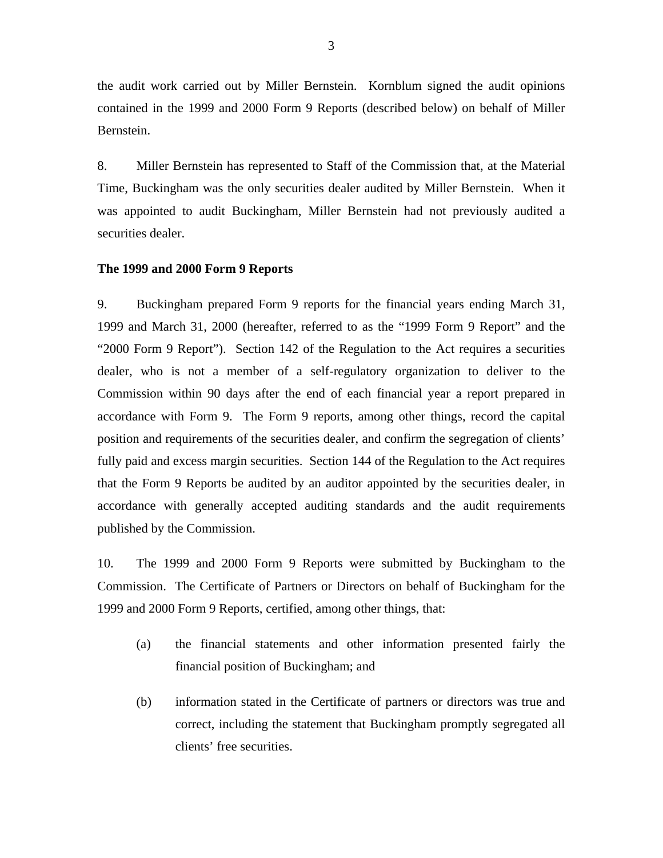the audit work carried out by Miller Bernstein. Kornblum signed the audit opinions contained in the 1999 and 2000 Form 9 Reports (described below) on behalf of Miller Bernstein.

8. Miller Bernstein has represented to Staff of the Commission that, at the Material Time, Buckingham was the only securities dealer audited by Miller Bernstein. When it was appointed to audit Buckingham, Miller Bernstein had not previously audited a securities dealer.

#### **The 1999 and 2000 Form 9 Reports**

9. Buckingham prepared Form 9 reports for the financial years ending March 31, 1999 and March 31, 2000 (hereafter, referred to as the "1999 Form 9 Report" and the "2000 Form 9 Report"). Section 142 of the Regulation to the Act requires a securities dealer, who is not a member of a self-regulatory organization to deliver to the Commission within 90 days after the end of each financial year a report prepared in accordance with Form 9. The Form 9 reports, among other things, record the capital position and requirements of the securities dealer, and confirm the segregation of clients' fully paid and excess margin securities. Section 144 of the Regulation to the Act requires that the Form 9 Reports be audited by an auditor appointed by the securities dealer, in accordance with generally accepted auditing standards and the audit requirements published by the Commission.

10. The 1999 and 2000 Form 9 Reports were submitted by Buckingham to the Commission. The Certificate of Partners or Directors on behalf of Buckingham for the 1999 and 2000 Form 9 Reports, certified, among other things, that:

- (a) the financial statements and other information presented fairly the financial position of Buckingham; and
- (b) information stated in the Certificate of partners or directors was true and correct, including the statement that Buckingham promptly segregated all clients' free securities.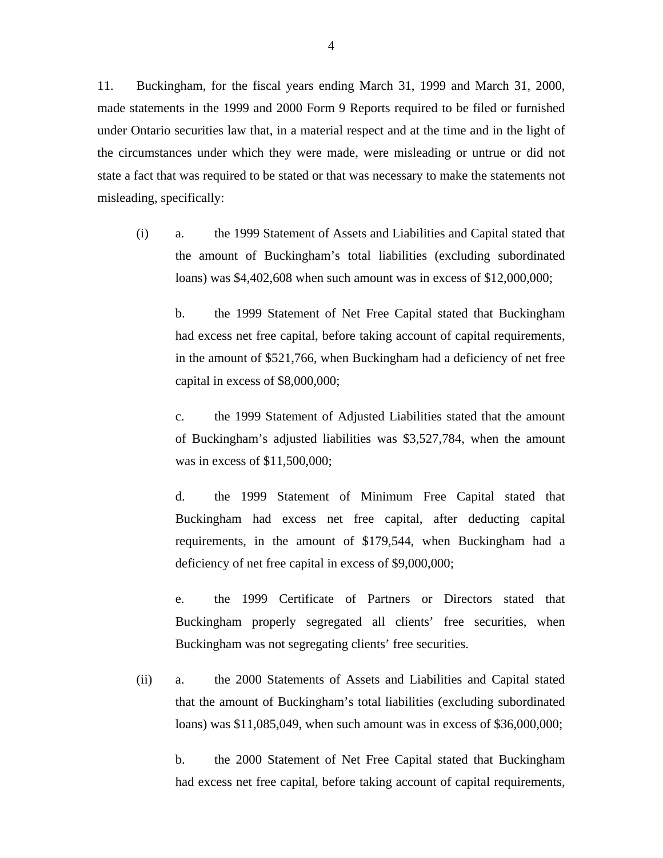11. Buckingham, for the fiscal years ending March 31, 1999 and March 31, 2000, made statements in the 1999 and 2000 Form 9 Reports required to be filed or furnished under Ontario securities law that, in a material respect and at the time and in the light of the circumstances under which they were made, were misleading or untrue or did not state a fact that was required to be stated or that was necessary to make the statements not misleading, specifically:

(i) a. the 1999 Statement of Assets and Liabilities and Capital stated that the amount of Buckingham's total liabilities (excluding subordinated loans) was \$4,402,608 when such amount was in excess of \$12,000,000;

 b. the 1999 Statement of Net Free Capital stated that Buckingham had excess net free capital, before taking account of capital requirements, in the amount of \$521,766, when Buckingham had a deficiency of net free capital in excess of \$8,000,000;

 c. the 1999 Statement of Adjusted Liabilities stated that the amount of Buckingham's adjusted liabilities was \$3,527,784, when the amount was in excess of \$11,500,000;

 d. the 1999 Statement of Minimum Free Capital stated that Buckingham had excess net free capital, after deducting capital requirements, in the amount of \$179,544, when Buckingham had a deficiency of net free capital in excess of \$9,000,000;

 e. the 1999 Certificate of Partners or Directors stated that Buckingham properly segregated all clients' free securities, when Buckingham was not segregating clients' free securities.

(ii) a. the 2000 Statements of Assets and Liabilities and Capital stated that the amount of Buckingham's total liabilities (excluding subordinated loans) was \$11,085,049, when such amount was in excess of \$36,000,000;

 b. the 2000 Statement of Net Free Capital stated that Buckingham had excess net free capital, before taking account of capital requirements,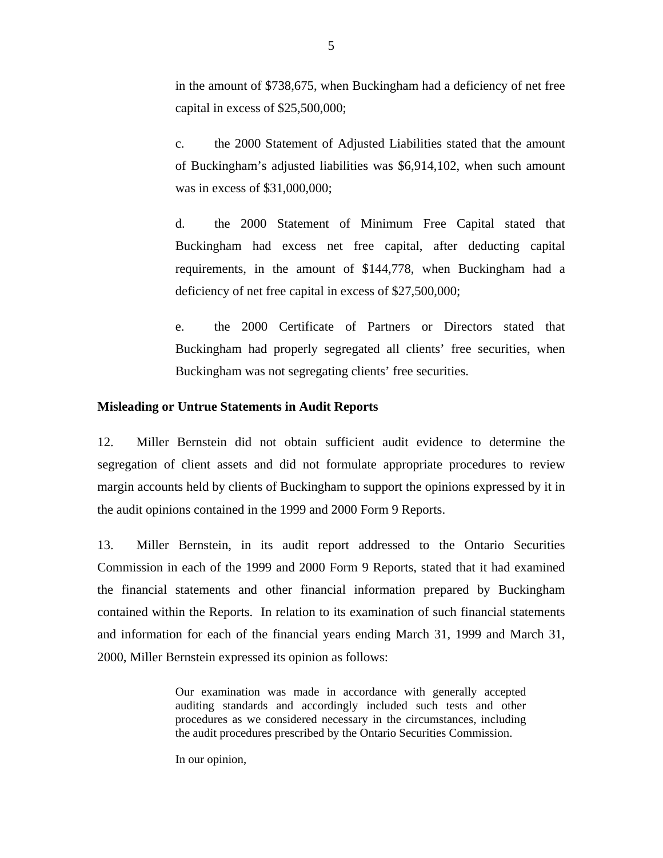in the amount of \$738,675, when Buckingham had a deficiency of net free capital in excess of \$25,500,000;

 c. the 2000 Statement of Adjusted Liabilities stated that the amount of Buckingham's adjusted liabilities was \$6,914,102, when such amount was in excess of \$31,000,000;

 d. the 2000 Statement of Minimum Free Capital stated that Buckingham had excess net free capital, after deducting capital requirements, in the amount of \$144,778, when Buckingham had a deficiency of net free capital in excess of \$27,500,000;

 e. the 2000 Certificate of Partners or Directors stated that Buckingham had properly segregated all clients' free securities, when Buckingham was not segregating clients' free securities.

#### **Misleading or Untrue Statements in Audit Reports**

12. Miller Bernstein did not obtain sufficient audit evidence to determine the segregation of client assets and did not formulate appropriate procedures to review margin accounts held by clients of Buckingham to support the opinions expressed by it in the audit opinions contained in the 1999 and 2000 Form 9 Reports.

13. Miller Bernstein, in its audit report addressed to the Ontario Securities Commission in each of the 1999 and 2000 Form 9 Reports, stated that it had examined the financial statements and other financial information prepared by Buckingham contained within the Reports. In relation to its examination of such financial statements and information for each of the financial years ending March 31, 1999 and March 31, 2000, Miller Bernstein expressed its opinion as follows:

> Our examination was made in accordance with generally accepted auditing standards and accordingly included such tests and other procedures as we considered necessary in the circumstances, including the audit procedures prescribed by the Ontario Securities Commission.

In our opinion,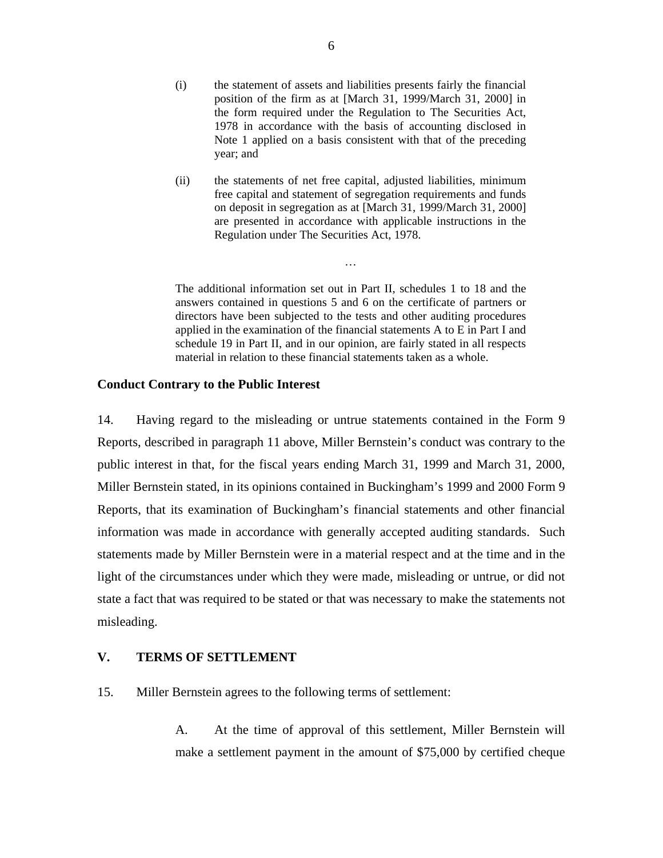- (i) the statement of assets and liabilities presents fairly the financial position of the firm as at [March 31, 1999/March 31, 2000] in the form required under the Regulation to The Securities Act, 1978 in accordance with the basis of accounting disclosed in Note 1 applied on a basis consistent with that of the preceding year; and
- (ii) the statements of net free capital, adjusted liabilities, minimum free capital and statement of segregation requirements and funds on deposit in segregation as at [March 31, 1999/March 31, 2000] are presented in accordance with applicable instructions in the Regulation under The Securities Act, 1978.

…

The additional information set out in Part II, schedules 1 to 18 and the answers contained in questions 5 and 6 on the certificate of partners or directors have been subjected to the tests and other auditing procedures applied in the examination of the financial statements A to E in Part I and schedule 19 in Part II, and in our opinion, are fairly stated in all respects material in relation to these financial statements taken as a whole.

### **Conduct Contrary to the Public Interest**

14. Having regard to the misleading or untrue statements contained in the Form 9 Reports, described in paragraph 11 above, Miller Bernstein's conduct was contrary to the public interest in that, for the fiscal years ending March 31, 1999 and March 31, 2000, Miller Bernstein stated, in its opinions contained in Buckingham's 1999 and 2000 Form 9 Reports, that its examination of Buckingham's financial statements and other financial information was made in accordance with generally accepted auditing standards. Such statements made by Miller Bernstein were in a material respect and at the time and in the light of the circumstances under which they were made, misleading or untrue, or did not state a fact that was required to be stated or that was necessary to make the statements not misleading.

# **V. TERMS OF SETTLEMENT**

15. Miller Bernstein agrees to the following terms of settlement:

A. At the time of approval of this settlement, Miller Bernstein will make a settlement payment in the amount of \$75,000 by certified cheque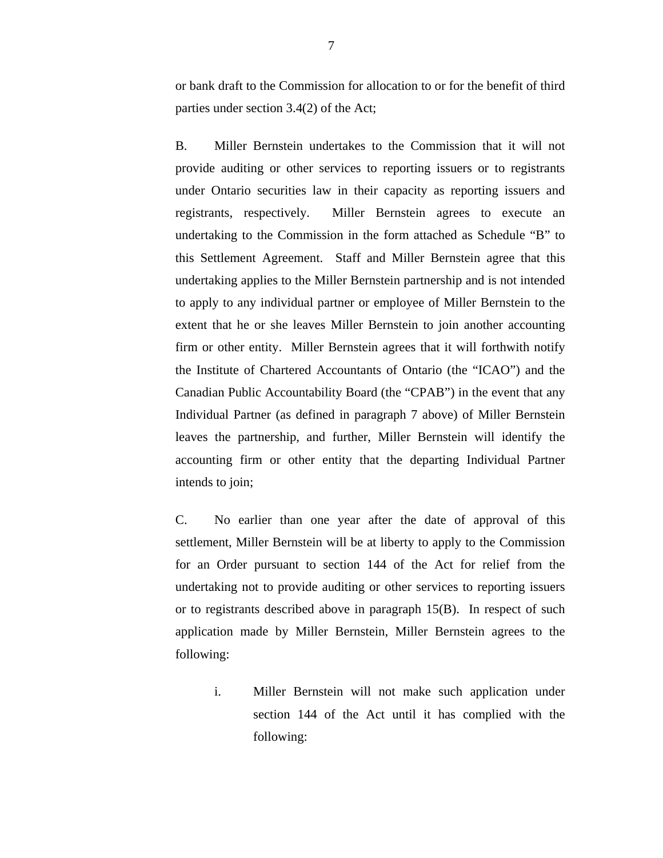or bank draft to the Commission for allocation to or for the benefit of third parties under section 3.4(2) of the Act;

B. Miller Bernstein undertakes to the Commission that it will not provide auditing or other services to reporting issuers or to registrants under Ontario securities law in their capacity as reporting issuers and registrants, respectively. Miller Bernstein agrees to execute an undertaking to the Commission in the form attached as Schedule "B" to this Settlement Agreement. Staff and Miller Bernstein agree that this undertaking applies to the Miller Bernstein partnership and is not intended to apply to any individual partner or employee of Miller Bernstein to the extent that he or she leaves Miller Bernstein to join another accounting firm or other entity. Miller Bernstein agrees that it will forthwith notify the Institute of Chartered Accountants of Ontario (the "ICAO") and the Canadian Public Accountability Board (the "CPAB") in the event that any Individual Partner (as defined in paragraph 7 above) of Miller Bernstein leaves the partnership, and further, Miller Bernstein will identify the accounting firm or other entity that the departing Individual Partner intends to join;

C. No earlier than one year after the date of approval of this settlement, Miller Bernstein will be at liberty to apply to the Commission for an Order pursuant to section 144 of the Act for relief from the undertaking not to provide auditing or other services to reporting issuers or to registrants described above in paragraph 15(B). In respect of such application made by Miller Bernstein, Miller Bernstein agrees to the following:

i. Miller Bernstein will not make such application under section 144 of the Act until it has complied with the following: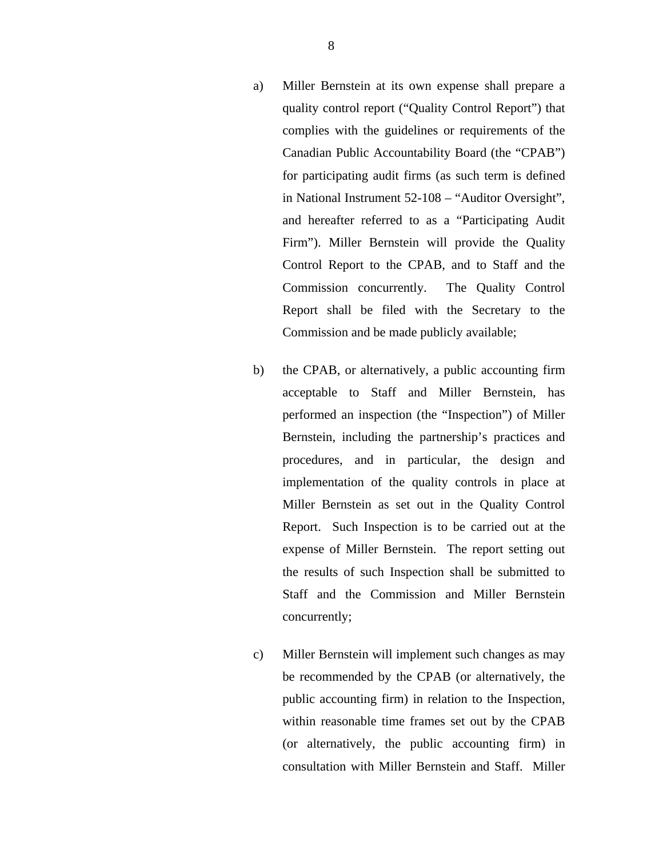- a) Miller Bernstein at its own expense shall prepare a quality control report ("Quality Control Report") that complies with the guidelines or requirements of the Canadian Public Accountability Board (the "CPAB") for participating audit firms (as such term is defined in National Instrument 52-108 – "Auditor Oversight", and hereafter referred to as a "Participating Audit Firm"). Miller Bernstein will provide the Quality Control Report to the CPAB, and to Staff and the Commission concurrently. The Quality Control Report shall be filed with the Secretary to the Commission and be made publicly available;
- b) the CPAB, or alternatively, a public accounting firm acceptable to Staff and Miller Bernstein, has performed an inspection (the "Inspection") of Miller Bernstein, including the partnership's practices and procedures, and in particular, the design and implementation of the quality controls in place at Miller Bernstein as set out in the Quality Control Report. Such Inspection is to be carried out at the expense of Miller Bernstein. The report setting out the results of such Inspection shall be submitted to Staff and the Commission and Miller Bernstein concurrently;
- c) Miller Bernstein will implement such changes as may be recommended by the CPAB (or alternatively, the public accounting firm) in relation to the Inspection, within reasonable time frames set out by the CPAB (or alternatively, the public accounting firm) in consultation with Miller Bernstein and Staff. Miller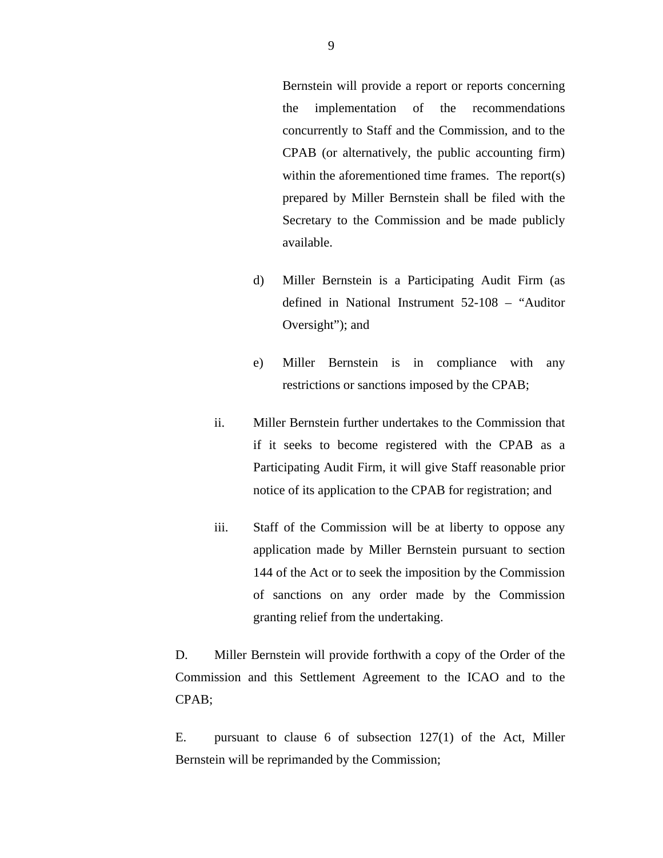Bernstein will provide a report or reports concerning the implementation of the recommendations concurrently to Staff and the Commission, and to the CPAB (or alternatively, the public accounting firm) within the aforementioned time frames. The report(s) prepared by Miller Bernstein shall be filed with the Secretary to the Commission and be made publicly available.

- d) Miller Bernstein is a Participating Audit Firm (as defined in National Instrument 52-108 – "Auditor Oversight"); and
- e) Miller Bernstein is in compliance with any restrictions or sanctions imposed by the CPAB;
- ii. Miller Bernstein further undertakes to the Commission that if it seeks to become registered with the CPAB as a Participating Audit Firm, it will give Staff reasonable prior notice of its application to the CPAB for registration; and
- iii. Staff of the Commission will be at liberty to oppose any application made by Miller Bernstein pursuant to section 144 of the Act or to seek the imposition by the Commission of sanctions on any order made by the Commission granting relief from the undertaking.

D. Miller Bernstein will provide forthwith a copy of the Order of the Commission and this Settlement Agreement to the ICAO and to the CPAB;

E. pursuant to clause 6 of subsection 127(1) of the Act, Miller Bernstein will be reprimanded by the Commission;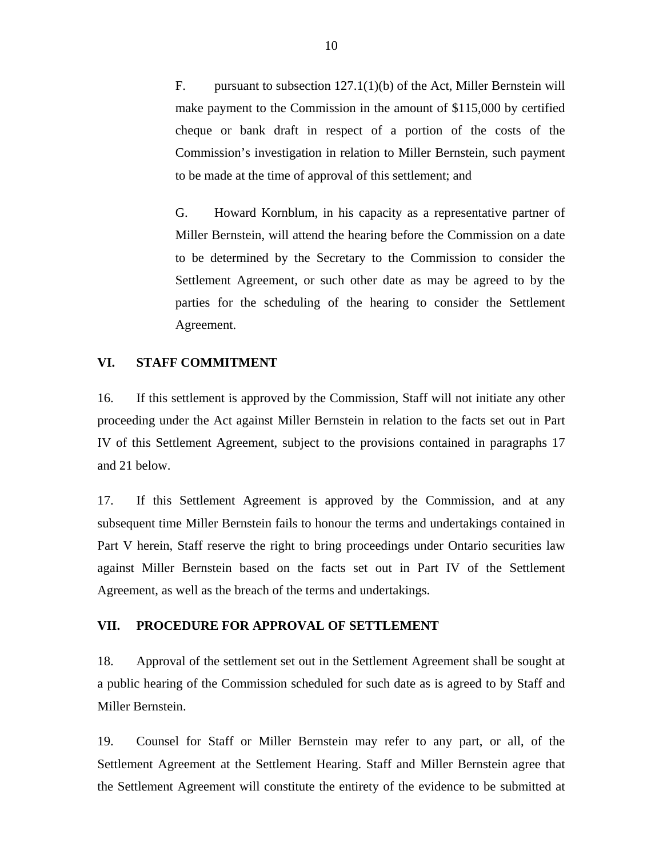F. pursuant to subsection 127.1(1)(b) of the Act, Miller Bernstein will make payment to the Commission in the amount of \$115,000 by certified cheque or bank draft in respect of a portion of the costs of the Commission's investigation in relation to Miller Bernstein, such payment to be made at the time of approval of this settlement; and

G. Howard Kornblum, in his capacity as a representative partner of Miller Bernstein, will attend the hearing before the Commission on a date to be determined by the Secretary to the Commission to consider the Settlement Agreement, or such other date as may be agreed to by the parties for the scheduling of the hearing to consider the Settlement Agreement.

### **VI. STAFF COMMITMENT**

16. If this settlement is approved by the Commission, Staff will not initiate any other proceeding under the Act against Miller Bernstein in relation to the facts set out in Part IV of this Settlement Agreement, subject to the provisions contained in paragraphs 17 and 21 below.

17. If this Settlement Agreement is approved by the Commission, and at any subsequent time Miller Bernstein fails to honour the terms and undertakings contained in Part V herein, Staff reserve the right to bring proceedings under Ontario securities law against Miller Bernstein based on the facts set out in Part IV of the Settlement Agreement, as well as the breach of the terms and undertakings.

# **VII. PROCEDURE FOR APPROVAL OF SETTLEMENT**

18. Approval of the settlement set out in the Settlement Agreement shall be sought at a public hearing of the Commission scheduled for such date as is agreed to by Staff and Miller Bernstein.

19. Counsel for Staff or Miller Bernstein may refer to any part, or all, of the Settlement Agreement at the Settlement Hearing. Staff and Miller Bernstein agree that the Settlement Agreement will constitute the entirety of the evidence to be submitted at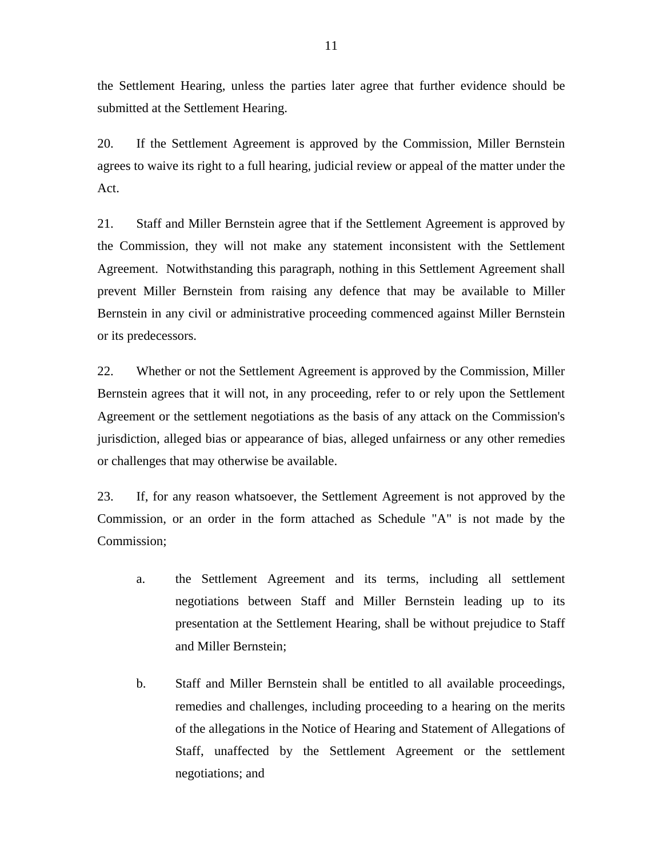the Settlement Hearing, unless the parties later agree that further evidence should be submitted at the Settlement Hearing.

20. If the Settlement Agreement is approved by the Commission, Miller Bernstein agrees to waive its right to a full hearing, judicial review or appeal of the matter under the Act.

21. Staff and Miller Bernstein agree that if the Settlement Agreement is approved by the Commission, they will not make any statement inconsistent with the Settlement Agreement. Notwithstanding this paragraph, nothing in this Settlement Agreement shall prevent Miller Bernstein from raising any defence that may be available to Miller Bernstein in any civil or administrative proceeding commenced against Miller Bernstein or its predecessors.

22. Whether or not the Settlement Agreement is approved by the Commission, Miller Bernstein agrees that it will not, in any proceeding, refer to or rely upon the Settlement Agreement or the settlement negotiations as the basis of any attack on the Commission's jurisdiction, alleged bias or appearance of bias, alleged unfairness or any other remedies or challenges that may otherwise be available.

23. If, for any reason whatsoever, the Settlement Agreement is not approved by the Commission, or an order in the form attached as Schedule "A" is not made by the Commission;

- a. the Settlement Agreement and its terms, including all settlement negotiations between Staff and Miller Bernstein leading up to its presentation at the Settlement Hearing, shall be without prejudice to Staff and Miller Bernstein;
- b. Staff and Miller Bernstein shall be entitled to all available proceedings, remedies and challenges, including proceeding to a hearing on the merits of the allegations in the Notice of Hearing and Statement of Allegations of Staff, unaffected by the Settlement Agreement or the settlement negotiations; and